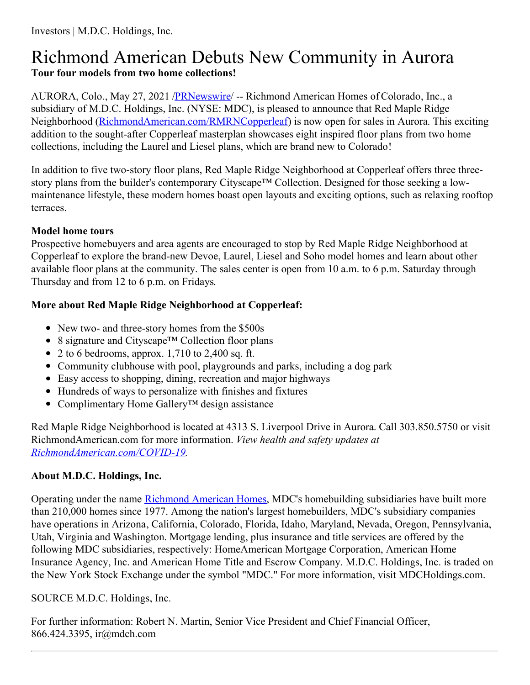## Richmond American Debuts New Community in Aurora **Tour four models from two home collections!**

AURORA, Colo., May 27, 2021 [/PRNewswire](http://www.prnewswire.com/)/ -- Richmond American Homes of Colorado, Inc., a subsidiary of M.D.C. Holdings, Inc. (NYSE: MDC), is pleased to announce that Red Maple Ridge Neighborhood [\(RichmondAmerican.com/RMRNCopperleaf](https://c212.net/c/link/?t=0&l=en&o=3178472-1&h=62363233&u=https%3A%2F%2Fwww.richmondamerican.com%2Fcolorado%2Fdenver-metro-new-homes%2Faurora%2Fred-maple-ridge-neighborhood-at-copperleaf%3Fch%3Donline%26ls%3Dprint%26ta%3Dpress-release%26td%3D%26utm_source%3Dvanityurl%26utm_medium%3Dprint-press-release%26utm_campaign%3Dden-community-feature&a=RichmondAmerican.com%2FRMRNCopperleaf)) is now open for sales in Aurora. This exciting addition to the sought-after Copperleaf masterplan showcases eight inspired floor plans from two home collections, including the Laurel and Liesel plans, which are brand new to Colorado!

In addition to five two-story floor plans, Red Maple Ridge Neighborhood at Copperleaf offers three threestory plans from the builder's contemporary Cityscape<sup>™</sup> Collection. Designed for those seeking a lowmaintenance lifestyle, these modern homes boast open layouts and exciting options, such as relaxing rooftop terraces.

## **Model home tours**

Prospective homebuyers and area agents are encouraged to stop by Red Maple Ridge Neighborhood at Copperleaf to explore the brand-new Devoe, Laurel, Liesel and Soho model homes and learn about other available floor plans at the community. The sales center is open from 10 a.m. to 6 p.m. Saturday through Thursday and from 12 to 6 p.m. on Fridays.

## **More about Red Maple Ridge Neighborhood at Copperleaf:**

- New two- and three-story homes from the \$500s
- 8 signature and Cityscape<sup>™</sup> Collection floor plans
- 2 to 6 bedrooms, approx. 1,710 to 2,400 sq. ft.
- Community clubhouse with pool, playgrounds and parks, including a dog park
- Easy access to shopping, dining, recreation and major highways
- Hundreds of ways to personalize with finishes and fixtures
- Complimentary Home Gallery™ design assistance

Red Maple Ridge Neighborhood is located at 4313 S. Liverpool Drive in Aurora. Call 303.850.5750 or visit RichmondAmerican.com for more information. *View health and safety updates at [RichmondAmerican.com/COVID-19](https://c212.net/c/link/?t=0&l=en&o=3178472-1&h=2933153420&u=https%3A%2F%2Fwww.richmondamerican.com%2Fcovid-19&a=RichmondAmerican.com%2FCOVID-19).*

## **About M.D.C. Holdings, Inc.**

Operating under the name [Richmond](https://c212.net/c/link/?t=0&l=en&o=3178472-1&h=1532238918&u=https%3A%2F%2Fwww.richmondamerican.com%2F&a=Richmond+American+Homes) American Homes, MDC's homebuilding subsidiaries have built more than 210,000 homes since 1977. Among the nation's largest homebuilders, MDC's subsidiary companies have operations in Arizona, California, Colorado, Florida, Idaho, Maryland, Nevada, Oregon, Pennsylvania, Utah, Virginia and Washington. Mortgage lending, plus insurance and title services are offered by the following MDC subsidiaries, respectively: HomeAmerican Mortgage Corporation, American Home Insurance Agency, Inc. and American Home Title and Escrow Company. M.D.C. Holdings, Inc. is traded on the New York Stock Exchange under the symbol "MDC." For more information, visit MDCHoldings.com.

SOURCE M.D.C. Holdings, Inc.

For further information: Robert N. Martin, Senior Vice President and Chief Financial Officer, 866.424.3395, ir@mdch.com